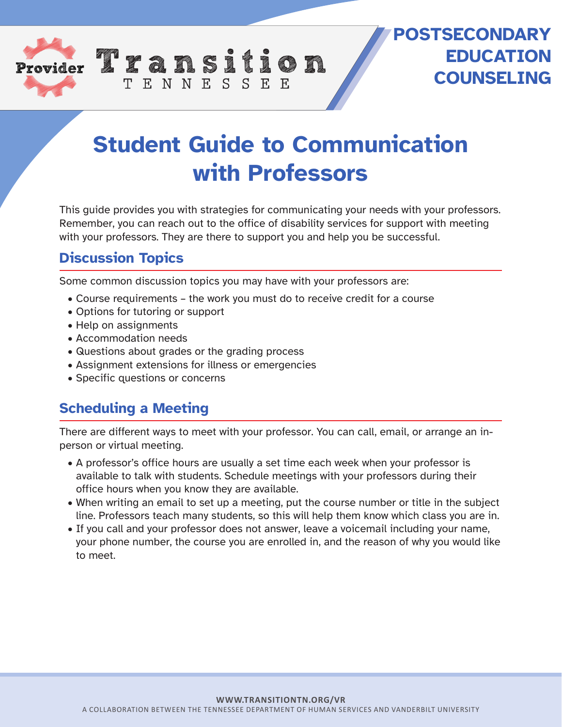

## **POSTSECONDARY EDUCATION COUNSELING**

# **Student Guide to Communication with Professors**

This guide provides you with strategies for communicating your needs with your professors. Remember, you can reach out to the office of disability services for support with meeting with your professors. They are there to support you and help you be successful.

### **Discussion Topics**

Some common discussion topics you may have with your professors are:

TENNESSEE

- Course requirements the work you must do to receive credit for a course
- Options for tutoring or support
- Help on assignments
- Accommodation needs
- Questions about grades or the grading process
- Assignment extensions for illness or emergencies
- Specific questions or concerns

#### **Scheduling a Meeting**

There are different ways to meet with your professor. You can call, email, or arrange an inperson or virtual meeting.

- A professor's office hours are usually a set time each week when your professor is available to talk with students. Schedule meetings with your professors during their office hours when you know they are available.
- When writing an email to set up a meeting, put the course number or title in the subject line. Professors teach many students, so this will help them know which class you are in.
- If you call and your professor does not answer, leave a voicemail including your name, your phone number, the course you are enrolled in, and the reason of why you would like to meet.